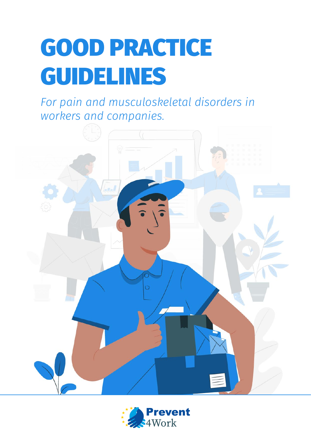# GOOD PRACTICE GUIDELINES

*For pain and musculoskeletal disorders in workers and companies.*



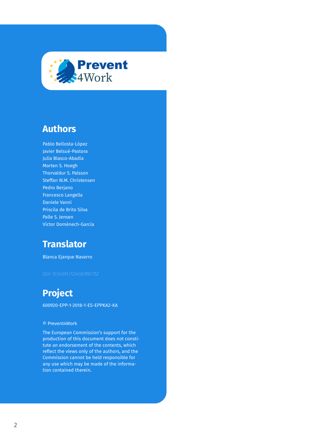

### **Authors**

Pablo Bellosta-López Javier Belsué-Pastora Julia Blasco-Abadía Morten S. Hoegh Thorvaldur S. Palsson Steffan W.M. Christensen Pedro Berjano Francesco Langella Daniele Vanni Priscila de Brito Silva Palle S. Jensen Víctor Doménech-García

## **Translator**

Blanca Ejarque Navarro

## **Project**

600920-EPP-1-2018-1-ES-EPPKA2-KA

#### © Prevent4Work

The European Commission's support for the production of this document does not constitute an endorsement of the contents, which reflect the views only of the authors, and the Commission cannot be held responsible for any use which may be made of the information contained therein.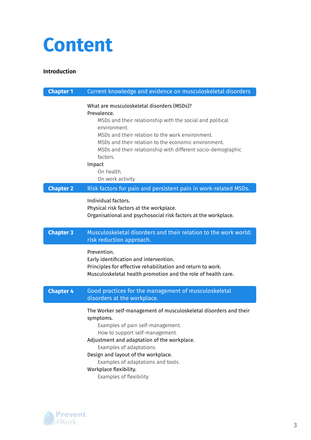## **Content**

#### **Introduction**

| <b>Chapter 1</b> | Current knowledge and evidence on musculoskeletal disorders                                                                                                                                                                                                                                                                                                                |
|------------------|----------------------------------------------------------------------------------------------------------------------------------------------------------------------------------------------------------------------------------------------------------------------------------------------------------------------------------------------------------------------------|
|                  | What are musculoskeletal disorders (MSDs)?<br>Prevalence.<br>MSDs and their relationship with the social and political<br>environment.<br>MSDs and their relation to the work environment.<br>MSDs and their relation to the economic environment.<br>MSDs and their relationship with different socio-demographic<br>factors.<br>Impact<br>On health.<br>On work activity |
| <b>Chapter 2</b> | Risk factors for pain and persistent pain in work-related MSDs.                                                                                                                                                                                                                                                                                                            |
|                  | Individual factors.<br>Physical risk factors at the workplace.<br>Organisational and psychosocial risk factors at the workplace.                                                                                                                                                                                                                                           |
| <b>Chapter 3</b> | Musculoskeletal disorders and their relation to the work world:<br>risk reduction approach.                                                                                                                                                                                                                                                                                |
|                  | Prevention.<br>Early identification and intervention.<br>Principles for effective rehabilitation and return to work.<br>Musculoskeletal health promotion and the role of health care.                                                                                                                                                                                      |
| <b>Chapter 4</b> | Good practices for the management of musculoskeletal<br>disorders at the workplace.                                                                                                                                                                                                                                                                                        |
|                  | The Worker self-management of musculoskeletal disorders and their<br>symptoms.<br>Examples of pain self-management.<br>How to support self-management.<br>Adjustment and adaptation of the workplace.<br>Examples of adaptations.<br>Design and layout of the workplace.<br>Examples of adaptations and tools.<br>Workplace flexibility.<br>Examples of flexibility.       |

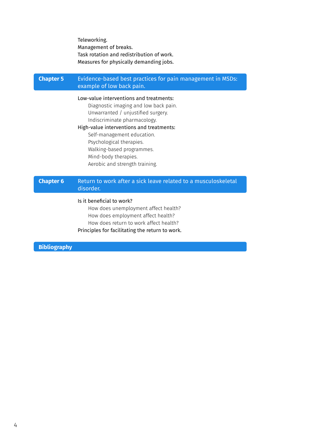Teleworking. Management of breaks. Task rotation and redistribution of work. Measures for physically demanding jobs.

#### Evidence-based best practices for pain management in MSDs: example of low back pain. **Chapter 5**

#### Low-value interventions and treatments:

Diagnostic imaging and low back pain. Unwarranted / unjustified surgery. Indiscriminate pharmacology.

#### High-value interventions and treatments:

Self-management education. Psychological therapies. Walking-based programmes. Mind-body therapies. Aerobic and strength training.

#### Return to work after a sick leave related to a musculoskeletal disorder. **Chapter 6**

#### Is it beneficial to work?

How does unemployment affect health? How does employment affect health? How does return to work affect health? Principles for facilitating the return to work.

**Bibliography**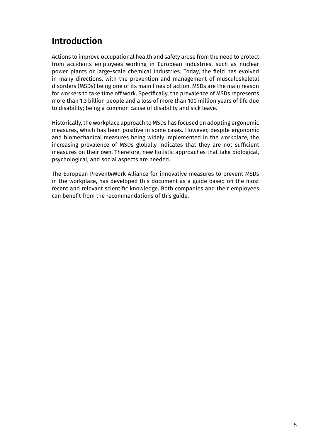## **Introduction**

Actions to improve occupational health and safety arose from the need to protect from accidents employees working in European industries, such as nuclear power plants or large-scale chemical industries. Today, the field has evolved in many directions, with the prevention and management of musculoskeletal disorders (MSDs) being one of its main lines of action. MSDs are the main reason for workers to take time off work. Specifically, the prevalence of MSDs represents more than 1.3 billion people and a loss of more than 100 million years of life due to disability; being a common cause of disability and sick leave.

Historically, the workplace approach to MSDs has focused on adopting ergonomic measures, which has been positive in some cases. However, despite ergonomic and biomechanical measures being widely implemented in the workplace, the increasing prevalence of MSDs globally indicates that they are not sufficient measures on their own. Therefore, new holistic approaches that take biological, psychological, and social aspects are needed.

The European Prevent4Work Alliance for innovative measures to prevent MSDs in the workplace, has developed this document as a guide based on the most recent and relevant scientific knowledge. Both companies and their employees can benefit from the recommendations of this guide.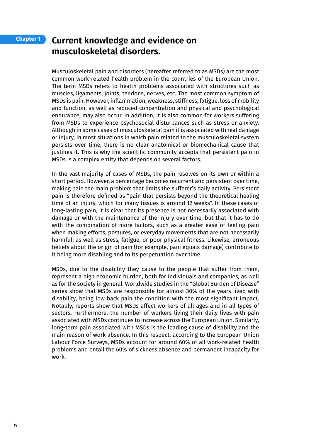#### **Chapter 1**

### **Current knowledge and evidence on musculoskeletal disorders.**

Musculoskeletal pain and disorders (hereafter referred to as MSDs) are the most common work-related health problem in the countries of the European Union. The term MSDs refers to health problems associated with structures such as muscles, ligaments, joints, tendons, nerves, etc. The most common symptom of MSDs is pain. However, inflammation, weakness, stiffness, fatigue, loss of mobility and function, as well as reduced concentration and physical and psychological endurance, may also occur. In addition, it is also common for workers suffering from MSDs to experience psychosocial disturbances such as stress or anxiety. Although in some cases of musculoskeletal pain it is associated with real damage or injury, in most situations in which pain related to the musculoskeletal system persists over time, there is no clear anatomical or biomechanical cause that justifies it. This is why the scientific community accepts that persistent pain in MSDs is a complex entity that depends on several factors.

In the vast majority of cases of MSDs, the pain resolves on its own or within a short period. However, a percentage becomes recurrent and persistent over time, making pain the main problem that limits the sufferer's daily activity. Persistent pain is therefore defined as "pain that persists beyond the theoretical healing time of an injury, which for many tissues is around 12 weeks". In these cases of long-lasting pain, it is clear that its presence is not necessarily associated with damage or with the maintenance of the injury over time, but that it has to do with the combination of more factors, such as a greater ease of feeling pain when making efforts, postures, or everyday movements that are not necessarily harmful; as well as stress, fatigue, or poor physical fitness. Likewise, erroneous beliefs about the origin of pain (for example, pain equals damage) contribute to it being more disabling and to its perpetuation over time.

MSDs, due to the disability they cause to the people that suffer from them, represent a high economic burden, both for individuals and companies, as well as for the society in general. Worldwide studies in the "Global Burden of Disease" series show that MSDs are responsible for almost 30% of the years lived with disability, being low back pain the condition with the most significant impact. Notably, reports show that MSDs affect workers of all ages and in all types of sectors. Furthermore, the number of workers living their daily lives with pain associated with MSDs continues to increase across the European Union. Similarly, long-term pain associated with MSDs is the leading cause of disability and the main reason of work absence. In this respect, according to the European Union Labour Force Surveys, MSDs account for around 60% of all work-related health problems and entail the 60% of sickness absence and permanent incapacity for work.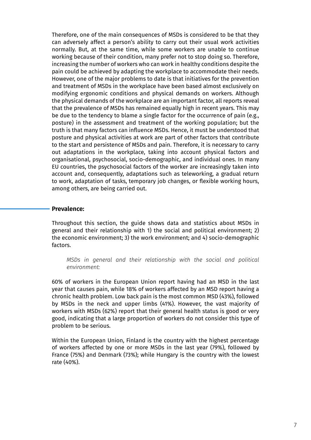Therefore, one of the main consequences of MSDs is considered to be that they can adversely affect a person's ability to carry out their usual work activities normally. But, at the same time, while some workers are unable to continue working because of their condition, many prefer not to stop doing so. Therefore, increasing the number of workers who can work in healthy conditions despite the pain could be achieved by adapting the workplace to accommodate their needs. However, one of the major problems to date is that initiatives for the prevention and treatment of MSDs in the workplace have been based almost exclusively on modifying ergonomic conditions and physical demands on workers. Although the physical demands of the workplace are an important factor, all reports reveal that the prevalence of MSDs has remained equally high in recent years. This may be due to the tendency to blame a single factor for the occurrence of pain (e.g., posture) in the assessment and treatment of the working population; but the truth is that many factors can influence MSDs. Hence, it must be understood that posture and physical activities at work are part of other factors that contribute to the start and persistence of MSDs and pain. Therefore, it is necessary to carry out adaptations in the workplace, taking into account physical factors and organisational, psychosocial, socio-demographic, and individual ones. In many EU countries, the psychosocial factors of the worker are increasingly taken into account and, consequently, adaptations such as teleworking, a gradual return to work, adaptation of tasks, temporary job changes, or flexible working hours, among others, are being carried out.

#### **Prevalence:**

Throughout this section, the guide shows data and statistics about MSDs in general and their relationship with 1) the social and political environment; 2) the economic environment; 3) the work environment; and 4) socio-demographic factors.

*MSDs in general and their relationship with the social and political environment:*

60% of workers in the European Union report having had an MSD in the last year that causes pain, while 18% of workers affected by an MSD report having a chronic health problem. Low back pain is the most common MSD (43%), followed by MSDs in the neck and upper limbs (41%). However, the vast majority of workers with MSDs (62%) report that their general health status is good or very good, indicating that a large proportion of workers do not consider this type of problem to be serious.

Within the European Union, Finland is the country with the highest percentage of workers affected by one or more MSDs in the last year (79%), followed by France (75%) and Denmark (73%); while Hungary is the country with the lowest rate (40%).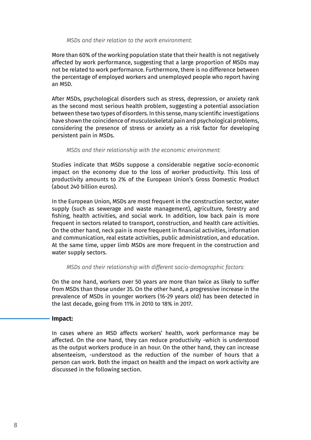#### *MSDs and their relation to the work environment:*

More than 60% of the working population state that their health is not negatively affected by work performance, suggesting that a large proportion of MSDs may not be related to work performance. Furthermore, there is no difference between the percentage of employed workers and unemployed people who report having an MSD.

After MSDs, psychological disorders such as stress, depression, or anxiety rank as the second most serious health problem, suggesting a potential association between these two types of disorders. In this sense, many scientific investigations have shown the coincidence of musculoskeletal pain and psychological problems, considering the presence of stress or anxiety as a risk factor for developing persistent pain in MSDs.

#### *MSDs and their relationship with the economic environment:*

Studies indicate that MSDs suppose a considerable negative socio-economic impact on the economy due to the loss of worker productivity. This loss of productivity amounts to 2% of the European Union's Gross Domestic Product (about 240 billion euros).

In the European Union, MSDs are most frequent in the construction sector, water supply (such as sewerage and waste management), agriculture, forestry and fishing, health activities, and social work. In addition, low back pain is more frequent in sectors related to transport, construction, and health care activities. On the other hand, neck pain is more frequent in financial activities, information and communication, real estate activities, public administration, and education. At the same time, upper limb MSDs are more frequent in the construction and water supply sectors.

#### *MSDs and their relationship with different socio-demographic factors:*

On the one hand, workers over 50 years are more than twice as likely to suffer from MSDs than those under 35. On the other hand, a progressive increase in the prevalence of MSDs in younger workers (16-29 years old) has been detected in the last decade, going from 11% in 2010 to 18% in 2017.

#### **Impact:**

In cases where an MSD affects workers' health, work performance may be affected. On the one hand, they can reduce productivity -which is understood as the output workers produce in an hour. On the other hand, they can increase absenteeism, -understood as the reduction of the number of hours that a person can work. Both the impact on health and the impact on work activity are discussed in the following section.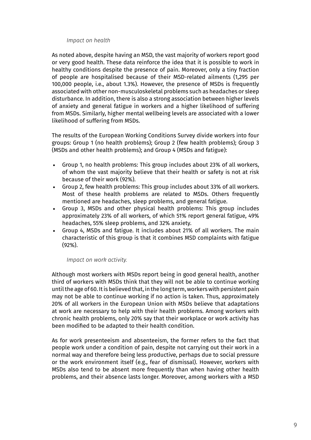#### *Impact on health*

As noted above, despite having an MSD, the vast majority of workers report good or very good health. These data reinforce the idea that it is possible to work in healthy conditions despite the presence of pain. Moreover, only a tiny fraction of people are hospitalised because of their MSD-related ailments (1,295 per 100,000 people, i.e., about 1.3%). However, the presence of MSDs is frequently associated with other non-musculoskeletal problems such as headaches or sleep disturbance. In addition, there is also a strong association between higher levels of anxiety and general fatigue in workers and a higher likelihood of suffering from MSDs. Similarly, higher mental wellbeing levels are associated with a lower likelihood of suffering from MSDs.

The results of the European Working Conditions Survey divide workers into four groups: Group 1 (no health problems); Group 2 (few health problems); Group 3 (MSDs and other health problems); and Group 4 (MSDs and fatigue):

- Group 1, no health problems: This group includes about 23% of all workers, of whom the vast majority believe that their health or safety is not at risk because of their work (92%).
- Group 2, few health problems: This group includes about 33% of all workers. Most of these health problems are related to MSDs. Others frequently mentioned are headaches, sleep problems, and general fatigue.
- Group 3, MSDs and other physical health problems: This group includes approximately 23% of all workers, of which 51% report general fatigue, 49% headaches, 55% sleep problems, and 32% anxiety.
- Group 4, MSDs and fatigue. It includes about 21% of all workers. The main characteristic of this group is that it combines MSD complaints with fatigue (92%).

#### *Impact on work activity.*

Although most workers with MSDs report being in good general health, another third of workers with MSDs think that they will not be able to continue working until the age of 60. It is believed that, in the long term, workers with persistent pain may not be able to continue working if no action is taken. Thus, approximately 20% of all workers in the European Union with MSDs believe that adaptations at work are necessary to help with their health problems. Among workers with chronic health problems, only 20% say that their workplace or work activity has been modified to be adapted to their health condition.

As for work presenteeism and absenteeism, the former refers to the fact that people work under a condition of pain, despite not carrying out their work in a normal way and therefore being less productive, perhaps due to social pressure or the work environment itself (e.g., fear of dismissal). However, workers with MSDs also tend to be absent more frequently than when having other health problems, and their absence lasts longer. Moreover, among workers with a MSD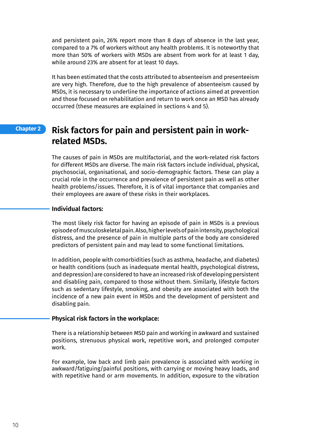and persistent pain, 26% report more than 8 days of absence in the last year, compared to a 7% of workers without any health problems. It is noteworthy that more than 50% of workers with MSDs are absent from work for at least 1 day, while around 23% are absent for at least 10 days.

It has been estimated that the costs attributed to absenteeism and presenteeism are very high. Therefore, due to the high prevalence of absenteeism caused by MSDs, it is necessary to underline the importance of actions aimed at prevention and those focused on rehabilitation and return to work once an MSD has already occurred (these measures are explained in sections 4 and 5).

#### **Risk factors for pain and persistent pain in workrelated MSDs. Chapter 2**

The causes of pain in MSDs are multifactorial, and the work-related risk factors for different MSDs are diverse. The main risk factors include individual, physical, psychosocial, organisational, and socio-demographic factors. These can play a crucial role in the occurrence and prevalence of persistent pain as well as other health problems/issues. Therefore, it is of vital importance that companies and their employees are aware of these risks in their workplaces.

#### **Individual factors:**

The most likely risk factor for having an episode of pain in MSDs is a previous episode of musculoskeletal pain. Also, higher levels of pain intensity, psychological distress, and the presence of pain in multiple parts of the body are considered predictors of persistent pain and may lead to some functional limitations.

In addition, people with comorbidities (such as asthma, headache, and diabetes) or health conditions (such as inadequate mental health, psychological distress, and depression) are considered to have an increased risk of developing persistent and disabling pain, compared to those without them. Similarly, lifestyle factors such as sedentary lifestyle, smoking, and obesity are associated with both the incidence of a new pain event in MSDs and the development of persistent and disabling pain.

#### **Physical risk factors in the workplace:**

There is a relationship between MSD pain and working in awkward and sustained positions, strenuous physical work, repetitive work, and prolonged computer work.

For example, low back and limb pain prevalence is associated with working in awkward/fatiguing/painful positions, with carrying or moving heavy loads, and with repetitive hand or arm movements. In addition, exposure to the vibration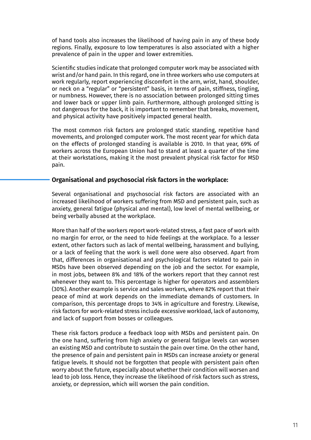of hand tools also increases the likelihood of having pain in any of these body regions. Finally, exposure to low temperatures is also associated with a higher prevalence of pain in the upper and lower extremities.

Scientific studies indicate that prolonged computer work may be associated with wrist and/or hand pain. In this regard, one in three workers who use computers at work regularly, report experiencing discomfort in the arm, wrist, hand, shoulder, or neck on a "regular" or "persistent" basis, in terms of pain, stiffness, tingling, or numbness. However, there is no association between prolonged sitting times and lower back or upper limb pain. Furthermore, although prolonged sitting is not dangerous for the back, it is important to remember that breaks, movement, and physical activity have positively impacted general health.

The most common risk factors are prolonged static standing, repetitive hand movements, and prolonged computer work. The most recent year for which data on the effects of prolonged standing is available is 2010. In that year, 69% of workers across the European Union had to stand at least a quarter of the time at their workstations, making it the most prevalent physical risk factor for MSD pain.

#### **Organisational and psychosocial risk factors in the workplace:**

Several organisational and psychosocial risk factors are associated with an increased likelihood of workers suffering from MSD and persistent pain, such as anxiety, general fatigue (physical and mental), low level of mental wellbeing, or being verbally abused at the workplace.

More than half of the workers report work-related stress, a fast pace of work with no margin for error, or the need to hide feelings at the workplace. To a lesser extent, other factors such as lack of mental wellbeing, harassment and bullying, or a lack of feeling that the work is well done were also observed. Apart from that, differences in organisational and psychological factors related to pain in MSDs have been observed depending on the job and the sector. For example, in most jobs, between 8% and 18% of the workers report that they cannot rest whenever they want to. This percentage is higher for operators and assemblers (30%). Another example is service and sales workers, where 82% report that their peace of mind at work depends on the immediate demands of customers. In comparison, this percentage drops to 34% in agriculture and forestry. Likewise, risk factors for work-related stress include excessive workload, lack of autonomy, and lack of support from bosses or colleagues.

These risk factors produce a feedback loop with MSDs and persistent pain. On the one hand, suffering from high anxiety or general fatigue levels can worsen an existing MSD and contribute to sustain the pain over time. On the other hand, the presence of pain and persistent pain in MSDs can increase anxiety or general fatigue levels. It should not be forgotten that people with persistent pain often worry about the future, especially about whether their condition will worsen and lead to job loss. Hence, they increase the likelihood of risk factors such as stress, anxiety, or depression, which will worsen the pain condition.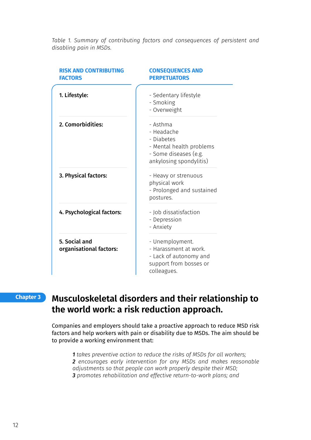*Table 1. Summary of contributing factors and consequences of persistent and disabling pain in MSDs.*

| <b>RISK AND CONTRIBUTING</b><br><b>FACTORS</b> | <b>CONSEQUENCES AND</b><br><b>PERPETUATORS</b>                                                                       |
|------------------------------------------------|----------------------------------------------------------------------------------------------------------------------|
| 1. Lifestyle:                                  | - Sedentary lifestyle<br>- Smoking<br>- Overweight                                                                   |
| 2. Comorbidities:                              | - Asthma<br>- Headache<br>- Diabetes<br>- Mental health problems<br>- Some diseases (e.g.<br>ankylosing spondylitis) |
| 3. Physical factors:                           | - Heavy or strenuous<br>physical work<br>- Prolonged and sustained<br>postures.                                      |
| 4. Psychological factors:                      | - Job dissatisfaction<br>- Depression<br>- Anxiety                                                                   |
| 5. Social and<br>organisational factors:       | - Unemployment.<br>- Harassment at work.<br>- Lack of autonomy and<br>support from bosses or<br>colleagues.          |

#### **Chapter 3**

## **Musculoskeletal disorders and their relationship to the world work: a risk reduction approach.**

Companies and employers should take a proactive approach to reduce MSD risk factors and help workers with pain or disability due to MSDs. The aim should be to provide a working environment that:

 *takes preventive action to reduce the risks of MSDs for all workers; encourages early intervention for any MSDs and makes reasonable adjustments so that people can work properly despite their MSD; promotes rehabilitation and effective return-to-work plans; and*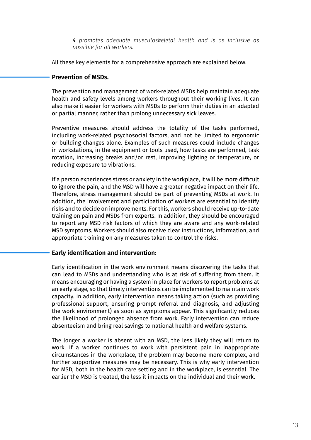*4 promotes adequate musculoskeletal health and is as inclusive as possible for all workers.*

All these key elements for a comprehensive approach are explained below.

#### **Prevention of MSDs.**

The prevention and management of work-related MSDs help maintain adequate health and safety levels among workers throughout their working lives. It can also make it easier for workers with MSDs to perform their duties in an adapted or partial manner, rather than prolong unnecessary sick leaves.

Preventive measures should address the totality of the tasks performed, including work-related psychosocial factors, and not be limited to ergonomic or building changes alone. Examples of such measures could include changes in workstations, in the equipment or tools used, how tasks are performed, task rotation, increasing breaks and/or rest, improving lighting or temperature, or reducing exposure to vibrations.

If a person experiences stress or anxiety in the workplace, it will be more difficult to ignore the pain, and the MSD will have a greater negative impact on their life. Therefore, stress management should be part of preventing MSDs at work. In addition, the involvement and participation of workers are essential to identify risks and to decide on improvements. For this, workers should receive up-to-date training on pain and MSDs from experts. In addition, they should be encouraged to report any MSD risk factors of which they are aware and any work-related MSD symptoms. Workers should also receive clear instructions, information, and appropriate training on any measures taken to control the risks.

#### **Early identification and intervention:**

Early identification in the work environment means discovering the tasks that can lead to MSDs and understanding who is at risk of suffering from them. It means encouraging or having a system in place for workers to report problems at an early stage, so that timely interventions can be implemented to maintain work capacity. In addition, early intervention means taking action (such as providing professional support, ensuring prompt referral and diagnosis, and adjusting the work environment) as soon as symptoms appear. This significantly reduces the likelihood of prolonged absence from work. Early intervention can reduce absenteeism and bring real savings to national health and welfare systems.

The longer a worker is absent with an MSD, the less likely they will return to work. If a worker continues to work with persistent pain in inappropriate circumstances in the workplace, the problem may become more complex, and further supportive measures may be necessary. This is why early intervention for MSD, both in the health care setting and in the workplace, is essential. The earlier the MSD is treated, the less it impacts on the individual and their work.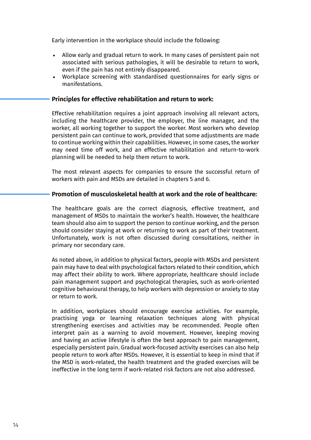Early intervention in the workplace should include the following:

- Allow early and gradual return to work. In many cases of persistent pain not associated with serious pathologies, it will be desirable to return to work, even if the pain has not entirely disappeared.
- Workplace screening with standardised questionnaires for early signs or manifestations.

#### **Principles for effective rehabilitation and return to work:**

Effective rehabilitation requires a joint approach involving all relevant actors, including the healthcare provider, the employer, the line manager, and the worker, all working together to support the worker. Most workers who develop persistent pain can continue to work, provided that some adjustments are made to continue working within their capabilities. However, in some cases, the worker may need time off work, and an effective rehabilitation and return-to-work planning will be needed to help them return to work.

The most relevant aspects for companies to ensure the successful return of workers with pain and MSDs are detailed in chapters 5 and 6.

#### **Promotion of musculoskeletal health at work and the role of healthcare:**

The healthcare goals are the correct diagnosis, effective treatment, and management of MSDs to maintain the worker's health. However, the healthcare team should also aim to support the person to continue working, and the person should consider staying at work or returning to work as part of their treatment. Unfortunately, work is not often discussed during consultations, neither in primary nor secondary care.

As noted above, in addition to physical factors, people with MSDs and persistent pain may have to deal with psychological factors related to their condition, which may affect their ability to work. Where appropriate, healthcare should include pain management support and psychological therapies, such as work-oriented cognitive behavioural therapy, to help workers with depression or anxiety to stay or return to work.

In addition, workplaces should encourage exercise activities. For example, practising yoga or learning relaxation techniques along with physical strengthening exercises and activities may be recommended. People often interpret pain as a warning to avoid movement. However, keeping moving and having an active lifestyle is often the best approach to pain management, especially persistent pain. Gradual work-focused activity exercises can also help people return to work after MSDs. However, it is essential to keep in mind that if the MSD is work-related, the health treatment and the graded exercises will be ineffective in the long term if work-related risk factors are not also addressed.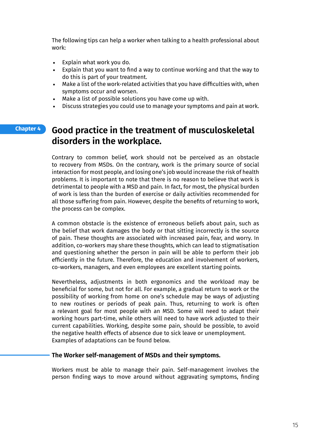The following tips can help a worker when talking to a health professional about work:

- Explain what work you do.
- Explain that you want to find a way to continue working and that the way to do this is part of your treatment.
- Make a list of the work-related activities that you have difficulties with, when symptoms occur and worsen.
- Make a list of possible solutions you have come up with.
- Discuss strategies you could use to manage your symptoms and pain at work.

#### **Good practice in the treatment of musculoskeletal disorders in the workplace. Chapter 4**

Contrary to common belief, work should not be perceived as an obstacle to recovery from MSDs. On the contrary, work is the primary source of social interaction for most people, and losing one's job would increase the risk of health problems. It is important to note that there is no reason to believe that work is detrimental to people with a MSD and pain. In fact, for most, the physical burden of work is less than the burden of exercise or daily activities recommended for all those suffering from pain. However, despite the benefits of returning to work, the process can be complex.

A common obstacle is the existence of erroneous beliefs about pain, such as the belief that work damages the body or that sitting incorrectly is the source of pain. These thoughts are associated with increased pain, fear, and worry. In addition, co-workers may share these thoughts, which can lead to stigmatisation and questioning whether the person in pain will be able to perform their job efficiently in the future. Therefore, the education and involvement of workers, co-workers, managers, and even employees are excellent starting points.

Nevertheless, adjustments in both ergonomics and the workload may be beneficial for some, but not for all. For example, a gradual return to work or the possibility of working from home on one's schedule may be ways of adjusting to new routines or periods of peak pain. Thus, returning to work is often a relevant goal for most people with an MSD. Some will need to adapt their working hours part-time, while others will need to have work adjusted to their current capabilities. Working, despite some pain, should be possible, to avoid the negative health effects of absence due to sick leave or unemployment. Examples of adaptations can be found below.

#### **The Worker self-management of MSDs and their symptoms.**

Workers must be able to manage their pain. Self-management involves the person finding ways to move around without aggravating symptoms, finding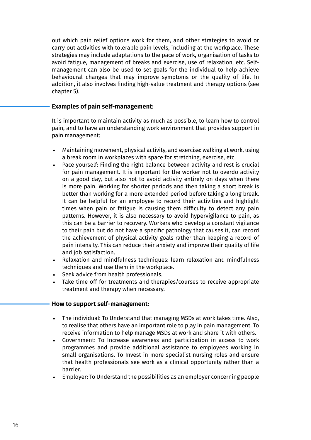out which pain relief options work for them, and other strategies to avoid or carry out activities with tolerable pain levels, including at the workplace. These strategies may include adaptations to the pace of work, organisation of tasks to avoid fatigue, management of breaks and exercise, use of relaxation, etc. Selfmanagement can also be used to set goals for the individual to help achieve behavioural changes that may improve symptoms or the quality of life. In addition, it also involves finding high-value treatment and therapy options (see chapter 5).

#### **Examples of pain self-management:**

It is important to maintain activity as much as possible, to learn how to control pain, and to have an understanding work environment that provides support in pain management:

- Maintaining movement, physical activity, and exercise: walking at work, using a break room in workplaces with space for stretching, exercise, etc.
- Pace yourself: Finding the right balance between activity and rest is crucial for pain management. It is important for the worker not to overdo activity on a good day, but also not to avoid activity entirely on days when there is more pain. Working for shorter periods and then taking a short break is better than working for a more extended period before taking a long break. It can be helpful for an employee to record their activities and highlight times when pain or fatigue is causing them difficulty to detect any pain patterns. However, it is also necessary to avoid hypervigilance to pain, as this can be a barrier to recovery. Workers who develop a constant vigilance to their pain but do not have a specific pathology that causes it, can record the achievement of physical activity goals rather than keeping a record of pain intensity. This can reduce their anxiety and improve their quality of life and job satisfaction.
- Relaxation and mindfulness techniques: learn relaxation and mindfulness techniques and use them in the workplace.
- Seek advice from health professionals.
- Take time off for treatments and therapies/courses to receive appropriate treatment and therapy when necessary.

#### **How to support self-management:**

- The individual: To Understand that managing MSDs at work takes time. Also, to realise that others have an important role to play in pain management. To receive information to help manage MSDs at work and share it with others.
- Government: To Increase awareness and participation in access to work programmes and provide additional assistance to employees working in small organisations. To Invest in more specialist nursing roles and ensure that health professionals see work as a clinical opportunity rather than a barrier.
- Employer: To Understand the possibilities as an employer concerning people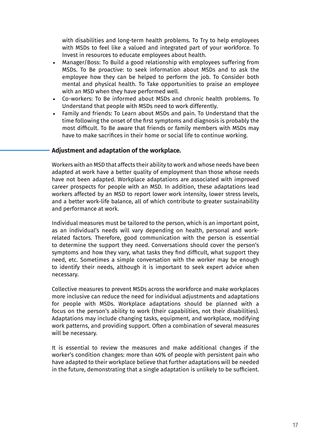with disabilities and long-term health problems. To Try to help employees with MSDs to feel like a valued and integrated part of your workforce. To Invest in resources to educate employees about health.

- Manager/Boss: To Build a good relationship with employees suffering from MSDs. To Be proactive: to seek information about MSDs and to ask the employee how they can be helped to perform the job. To Consider both mental and physical health. To Take opportunities to praise an employee with an MSD when they have performed well.
- Co-workers: To Be informed about MSDs and chronic health problems. To Understand that people with MSDs need to work differently.
- Family and friends: To Learn about MSDs and pain. To Understand that the time following the onset of the first symptoms and diagnosis is probably the most difficult. To Be aware that friends or family members with MSDs may have to make sacrifices in their home or social life to continue working.

#### **Adjustment and adaptation of the workplace.**

Workers with an MSD that affects their ability to work and whose needs have been adapted at work have a better quality of employment than those whose needs have not been adapted. Workplace adaptations are associated with improved career prospects for people with an MSD. In addition, these adaptations lead workers affected by an MSD to report lower work intensity, lower stress levels, and a better work-life balance, all of which contribute to greater sustainability and performance at work.

Individual measures must be tailored to the person, which is an important point, as an individual's needs will vary depending on health, personal and workrelated factors. Therefore, good communication with the person is essential to determine the support they need. Conversations should cover the person's symptoms and how they vary, what tasks they find difficult, what support they need, etc. Sometimes a simple conversation with the worker may be enough to identify their needs, although it is important to seek expert advice when necessary.

Collective measures to prevent MSDs across the workforce and make workplaces more inclusive can reduce the need for individual adjustments and adaptations for people with MSDs. Workplace adaptations should be planned with a focus on the person's ability to work (their capabilities, not their disabilities). Adaptations may include changing tasks, equipment, and workplace, modifying work patterns, and providing support. Often a combination of several measures will be necessary.

It is essential to review the measures and make additional changes if the worker's condition changes: more than 40% of people with persistent pain who have adapted to their workplace believe that further adaptations will be needed in the future, demonstrating that a single adaptation is unlikely to be sufficient.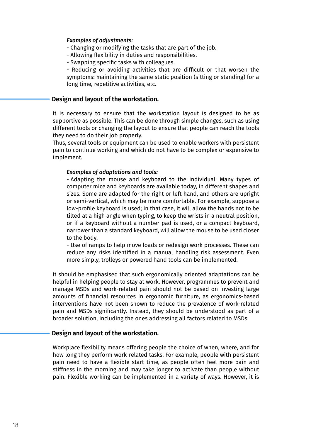#### *Examples of adjustments:*

- Changing or modifying the tasks that are part of the job.
- Allowing flexibility in duties and responsibilities.
- Swapping specific tasks with colleagues.

- Reducing or avoiding activities that are difficult or that worsen the symptoms: maintaining the same static position (sitting or standing) for a long time, repetitive activities, etc.

#### **Design and layout of the workstation.**

It is necessary to ensure that the workstation layout is designed to be as supportive as possible. This can be done through simple changes, such as using different tools or changing the layout to ensure that people can reach the tools they need to do their job properly.

Thus, several tools or equipment can be used to enable workers with persistent pain to continue working and which do not have to be complex or expensive to implement.

#### *Examples of adaptations and tools:*

- Adapting the mouse and keyboard to the individual: Many types of computer mice and keyboards are available today, in different shapes and sizes. Some are adapted for the right or left hand, and others are upright or semi-vertical, which may be more comfortable. For example, suppose a low-profile keyboard is used; in that case, it will allow the hands not to be tilted at a high angle when typing, to keep the wrists in a neutral position, or if a keyboard without a number pad is used, or a compact keyboard, narrower than a standard keyboard, will allow the mouse to be used closer to the body.

- Use of ramps to help move loads or redesign work processes. These can reduce any risks identified in a manual handling risk assessment. Even more simply, trolleys or powered hand tools can be implemented.

It should be emphasised that such ergonomically oriented adaptations can be helpful in helping people to stay at work. However, programmes to prevent and manage MSDs and work-related pain should not be based on investing large amounts of financial resources in ergonomic furniture, as ergonomics-based interventions have not been shown to reduce the prevalence of work-related pain and MSDs significantly. Instead, they should be understood as part of a broader solution, including the ones addressing all factors related to MSDs.

#### **Design and layout of the workstation.**

Workplace flexibility means offering people the choice of when, where, and for how long they perform work-related tasks. For example, people with persistent pain need to have a flexible start time, as people often feel more pain and stiffness in the morning and may take longer to activate than people without pain. Flexible working can be implemented in a variety of ways. However, it is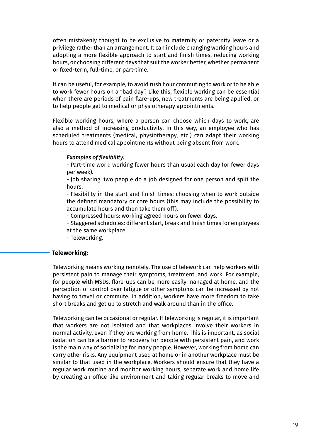often mistakenly thought to be exclusive to maternity or paternity leave or a privilege rather than an arrangement. It can include changing working hours and adopting a more flexible approach to start and finish times, reducing working hours, or choosing different days that suit the worker better, whether permanent or fixed-term, full-time, or part-time.

It can be useful, for example, to avoid rush hour commuting to work or to be able to work fewer hours on a "bad day". Like this, flexible working can be essential when there are periods of pain flare-ups, new treatments are being applied, or to help people get to medical or physiotherapy appointments.

Flexible working hours, where a person can choose which days to work, are also a method of increasing productivity. In this way, an employee who has scheduled treatments (medical, physiotherapy, etc.) can adapt their working hours to attend medical appointments without being absent from work.

#### *Examples of flexibility:*

- Part-time work: working fewer hours than usual each day (or fewer days per week).

- Job sharing: two people do a job designed for one person and split the hours.

- Flexibility in the start and finish times: choosing when to work outside the defined mandatory or core hours (this may include the possibility to accumulate hours and then take them off).

- Compressed hours: working agreed hours on fewer days.

- Staggered schedules: different start, break and finish times for employees at the same workplace.

- Teleworking.

#### **Teleworking:**

Teleworking means working remotely. The use of telework can help workers with persistent pain to manage their symptoms, treatment, and work. For example, for people with MSDs, flare-ups can be more easily managed at home, and the perception of control over fatigue or other symptoms can be increased by not having to travel or commute. In addition, workers have more freedom to take short breaks and get up to stretch and walk around than in the office.

Teleworking can be occasional or regular. If teleworking is regular, it is important that workers are not isolated and that workplaces involve their workers in normal activity, even if they are working from home. This is important, as social isolation can be a barrier to recovery for people with persistent pain, and work is the main way of socializing for many people. However, working from home can carry other risks. Any equipment used at home or in another workplace must be similar to that used in the workplace. Workers should ensure that they have a regular work routine and monitor working hours, separate work and home life by creating an office-like environment and taking regular breaks to move and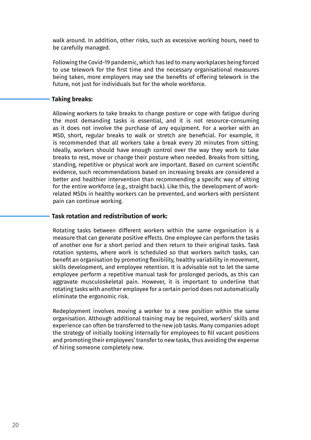walk around. In addition, other risks, such as excessive working hours, need to be carefully managed.

Following the Covid-19 pandemic, which has led to many workplaces being forced to use telework for the first time and the necessary organisational measures being taken, more employers may see the benefits of offering telework in the future, not just for individuals but for the whole workforce.

#### **Taking breaks:**

Allowing workers to take breaks to change posture or cope with fatigue during the most demanding tasks is essential, and it is not resource-consuming as it does not involve the purchase of any equipment. For a worker with an MSD, short, regular breaks to walk or stretch are beneficial. For example, it is recommended that all workers take a break every 20 minutes from sitting. Ideally, workers should have enough control over the way they work to take breaks to rest, move or change their posture when needed. Breaks from sitting, standing, repetitive or physical work are important. Based on current scientific evidence, such recommendations based on increasing breaks are considered a better and healthier intervention than recommending a specific way of sitting for the entire workforce (e.g., straight back). Like this, the development of workrelated MSDs in healthy workers can be prevented, and workers with persistent pain can continue working.

#### **Task rotation and redistribution of work:**

Rotating tasks between different workers within the same organisation is a measure that can generate positive effects. One employee can perform the tasks of another one for a short period and then return to their original tasks. Task rotation systems, where work is scheduled so that workers switch tasks, can benefit an organisation by promoting flexibility, healthy variability in movement, skills development, and employee retention. It is advisable not to let the same employee perform a repetitive manual task for prolonged periods, as this can aggravate musculoskeletal pain. However, it is important to underline that rotating tasks with another employee for a certain period does not automatically eliminate the ergonomic risk.

Redeployment involves moving a worker to a new position within the same organisation. Although additional training may be required, workers' skills and experience can often be transferred to the new job tasks. Many companies adopt the strategy of initially looking internally for employees to fill vacant positions and promoting their employees' transfer to new tasks, thus avoiding the expense of hiring someone completely new.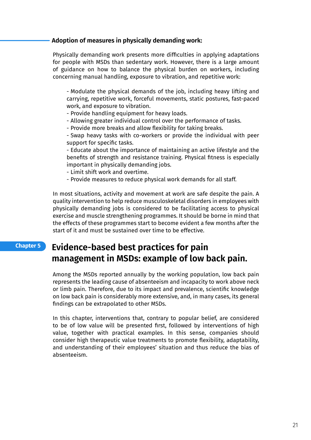#### **Adoption of measures in physically demanding work:**

Physically demanding work presents more difficulties in applying adaptations for people with MSDs than sedentary work. However, there is a large amount of guidance on how to balance the physical burden on workers, including concerning manual handling, exposure to vibration, and repetitive work:

- Modulate the physical demands of the job, including heavy lifting and carrying, repetitive work, forceful movements, static postures, fast-paced work, and exposure to vibration.

- Provide handling equipment for heavy loads.

- Allowing greater individual control over the performance of tasks.

- Provide more breaks and allow flexibility for taking breaks.

- Swap heavy tasks with co-workers or provide the individual with peer support for specific tasks.

- Educate about the importance of maintaining an active lifestyle and the benefits of strength and resistance training. Physical fitness is especially important in physically demanding jobs.

- Limit shift work and overtime.

- Provide measures to reduce physical work demands for all staff.

In most situations, activity and movement at work are safe despite the pain. A quality intervention to help reduce musculoskeletal disorders in employees with physically demanding jobs is considered to be facilitating access to physical exercise and muscle strengthening programmes. It should be borne in mind that the effects of these programmes start to become evident a few months after the start of it and must be sustained over time to be effective.

#### **Evidence-based best practices for pain management in MSDs: example of low back pain. Chapter 5**

Among the MSDs reported annually by the working population, low back pain represents the leading cause of absenteeism and incapacity to work above neck or limb pain. Therefore, due to its impact and prevalence, scientific knowledge on low back pain is considerably more extensive, and, in many cases, its general findings can be extrapolated to other MSDs.

In this chapter, interventions that, contrary to popular belief, are considered to be of low value will be presented first, followed by interventions of high value, together with practical examples. In this sense, companies should consider high therapeutic value treatments to promote flexibility, adaptability, and understanding of their employees' situation and thus reduce the bias of absenteeism.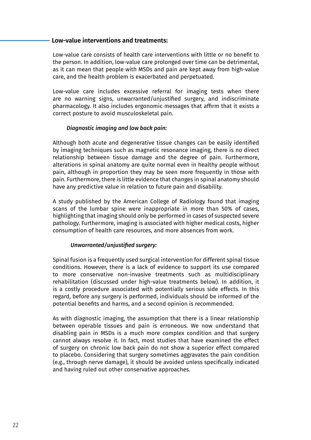#### **Low-value interventions and treatments:**

Low-value care consists of health care interventions with little or no benefit to the person. In addition, low-value care prolonged over time can be detrimental, as it can mean that people with MSDs and pain are kept away from high-value care, and the health problem is exacerbated and perpetuated.

Low-value care includes excessive referral for imaging tests when there are no warning signs, unwarranted/unjustified surgery, and indiscriminate pharmacology. It also includes ergonomic messages that affirm that it exists a correct posture to avoid musculoskeletal pain.

#### *Diagnostic imaging and low back pain:*

Although both acute and degenerative tissue changes can be easily identified by imaging techniques such as magnetic resonance imaging, there is no direct relationship between tissue damage and the degree of pain. Furthermore, alterations in spinal anatomy are quite normal even in healthy people without pain, although in proportion they may be seen more frequently in those with pain. Furthermore, there is little evidence that changes in spinal anatomy should have any predictive value in relation to future pain and disability.

A study published by the American College of Radiology found that imaging scans of the lumbar spine were inappropriate in more than 50% of cases, highlighting that imaging should only be performed in cases of suspected severe pathology. Furthermore, imaging is associated with higher medical costs, higher consumption of health care resources, and more absences from work.

#### *Unwarranted/unjustified surgery:*

Spinal fusion is a frequently used surgical intervention for different spinal tissue conditions. However, there is a lack of evidence to support its use compared to more conservative non-invasive treatments such as multidisciplinary rehabilitation (discussed under high-value treatments below). In addition, it is a costly procedure associated with potentially serious side effects. In this regard, before any surgery is performed, individuals should be informed of the potential benefits and harms, and a second opinion is recommended.

As with diagnostic imaging, the assumption that there is a linear relationship between operable tissues and pain is erroneous. We now understand that disabling pain in MSDs is a much more complex condition and that surgery cannot always resolve it. In fact, most studies that have examined the effect of surgery on chronic low back pain do not show a superior effect compared to placebo. Considering that surgery sometimes aggravates the pain condition (e.g., through nerve damage), it should be avoided unless specifically indicated and having ruled out other conservative approaches.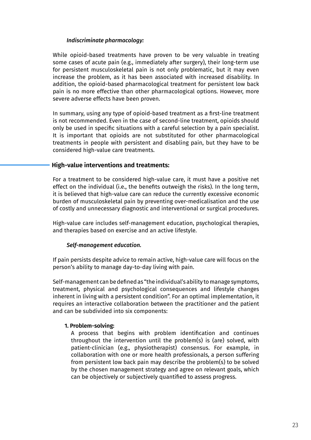#### *Indiscriminate pharmacology:*

While opioid-based treatments have proven to be very valuable in treating some cases of acute pain (e.g., immediately after surgery), their long-term use for persistent musculoskeletal pain is not only problematic, but it may even increase the problem, as it has been associated with increased disability. In addition, the opioid-based pharmacological treatment for persistent low back pain is no more effective than other pharmacological options. However, more severe adverse effects have been proven.

In summary, using any type of opioid-based treatment as a first-line treatment is not recommended. Even in the case of second-line treatment, opioids should only be used in specific situations with a careful selection by a pain specialist. It is important that opioids are not substituted for other pharmacological treatments in people with persistent and disabling pain, but they have to be considered high-value care treatments.

#### **High-value interventions and treatments:**

For a treatment to be considered high-value care, it must have a positive net effect on the individual (i.e., the benefits outweigh the risks). In the long term, it is believed that high-value care can reduce the currently excessive economic burden of musculoskeletal pain by preventing over-medicalisation and the use of costly and unnecessary diagnostic and interventional or surgical procedures.

High-value care includes self-management education, psychological therapies, and therapies based on exercise and an active lifestyle.

#### *Self-management education.*

If pain persists despite advice to remain active, high-value care will focus on the person's ability to manage day-to-day living with pain.

Self-management can be defined as "the individual's ability to manage symptoms, treatment, physical and psychological consequences and lifestyle changes inherent in living with a persistent condition". For an optimal implementation, it requires an interactive collaboration between the practitioner and the patient and can be subdivided into six components:

#### **1. Problem-solving:**

A process that begins with problem identification and continues throughout the intervention until the problem(s) is (are) solved, with patient-clinician (e.g., physiotherapist) consensus. For example, in collaboration with one or more health professionals, a person suffering from persistent low back pain may describe the problem(s) to be solved by the chosen management strategy and agree on relevant goals, which can be objectively or subjectively quantified to assess progress.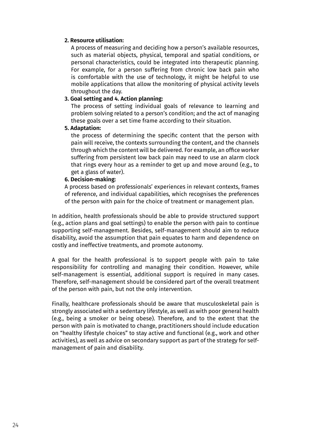#### **2. Resource utilisation:**

A process of measuring and deciding how a person's available resources, such as material objects, physical, temporal and spatial conditions, or personal characteristics, could be integrated into therapeutic planning. For example, for a person suffering from chronic low back pain who is comfortable with the use of technology, it might be helpful to use mobile applications that allow the monitoring of physical activity levels throughout the day.

#### **3. Goal setting and 4. Action planning:**

The process of setting individual goals of relevance to learning and problem solving related to a person's condition; and the act of managing these goals over a set time frame according to their situation.

#### **5. Adaptation:**

the process of determining the specific content that the person with pain will receive, the contexts surrounding the content, and the channels through which the content will be delivered. For example, an office worker suffering from persistent low back pain may need to use an alarm clock that rings every hour as a reminder to get up and move around (e.g., to get a glass of water).

#### **6. Decision-making:**

A process based on professionals' experiences in relevant contexts, frames of reference, and individual capabilities, which recognises the preferences of the person with pain for the choice of treatment or management plan.

In addition, health professionals should be able to provide structured support (e.g., action plans and goal settings) to enable the person with pain to continue supporting self-management. Besides, self-management should aim to reduce disability, avoid the assumption that pain equates to harm and dependence on costly and ineffective treatments, and promote autonomy.

A goal for the health professional is to support people with pain to take responsibility for controlling and managing their condition. However, while self-management is essential, additional support is required in many cases. Therefore, self-management should be considered part of the overall treatment of the person with pain, but not the only intervention.

Finally, healthcare professionals should be aware that musculoskeletal pain is strongly associated with a sedentary lifestyle, as well as with poor general health (e.g., being a smoker or being obese). Therefore, and to the extent that the person with pain is motivated to change, practitioners should include education on "healthy lifestyle choices" to stay active and functional (e.g., work and other activities), as well as advice on secondary support as part of the strategy for selfmanagement of pain and disability.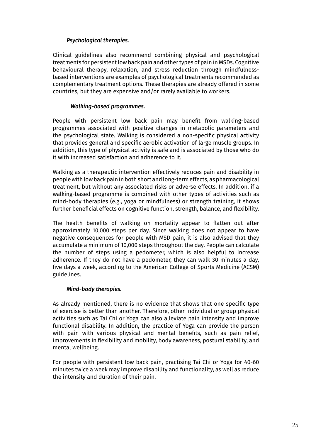#### *Psychological therapies.*

Clinical guidelines also recommend combining physical and psychological treatments for persistent low back pain and other types of pain in MSDs. Cognitive behavioural therapy, relaxation, and stress reduction through mindfulnessbased interventions are examples of psychological treatments recommended as complementary treatment options. These therapies are already offered in some countries, but they are expensive and/or rarely available to workers.

#### *Walking-based programmes.*

People with persistent low back pain may benefit from walking-based programmes associated with positive changes in metabolic parameters and the psychological state. Walking is considered a non-specific physical activity that provides general and specific aerobic activation of large muscle groups. In addition, this type of physical activity is safe and is associated by those who do it with increased satisfaction and adherence to it.

Walking as a therapeutic intervention effectively reduces pain and disability in people with low back pain in both short and long-term effects, as pharmacological treatment, but without any associated risks or adverse effects. In addition, if a walking-based programme is combined with other types of activities such as mind-body therapies (e.g., yoga or mindfulness) or strength training, it shows further beneficial effects on cognitive function, strength, balance, and flexibility.

The health benefits of walking on mortality appear to flatten out after approximately 10,000 steps per day. Since walking does not appear to have negative consequences for people with MSD pain, it is also advised that they accumulate a minimum of 10,000 steps throughout the day. People can calculate the number of steps using a pedometer, which is also helpful to increase adherence. If they do not have a pedometer, they can walk 30 minutes a day, five days a week, according to the American College of Sports Medicine (ACSM) guidelines.

#### *Mind-body therapies.*

As already mentioned, there is no evidence that shows that one specific type of exercise is better than another. Therefore, other individual or group physical activities such as Tai Chi or Yoga can also alleviate pain intensity and improve functional disability. In addition, the practice of Yoga can provide the person with pain with various physical and mental benefits, such as pain relief, improvements in flexibility and mobility, body awareness, postural stability, and mental wellbeing.

For people with persistent low back pain, practising Tai Chi or Yoga for 40-60 minutes twice a week may improve disability and functionality, as well as reduce the intensity and duration of their pain.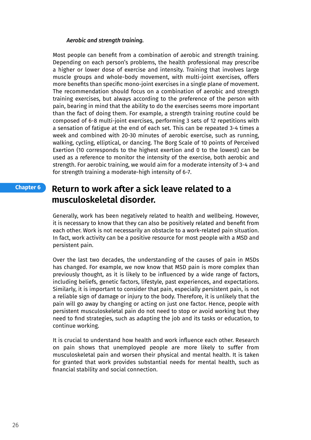#### *Aerobic and strength training.*

Most people can benefit from a combination of aerobic and strength training. Depending on each person's problems, the health professional may prescribe a higher or lower dose of exercise and intensity. Training that involves large muscle groups and whole-body movement, with multi-joint exercises, offers more benefits than specific mono-joint exercises in a single plane of movement. The recommendation should focus on a combination of aerobic and strength training exercises, but always according to the preference of the person with pain, bearing in mind that the ability to do the exercises seems more important than the fact of doing them. For example, a strength training routine could be composed of 6-8 multi-joint exercises, performing 3 sets of 12 repetitions with a sensation of fatigue at the end of each set. This can be repeated 3-4 times a week and combined with 20-30 minutes of aerobic exercise, such as running, walking, cycling, elliptical, or dancing. The Borg Scale of 10 points of Perceived Exertion (10 corresponds to the highest exertion and 0 to the lowest) can be used as a reference to monitor the intensity of the exercise, both aerobic and strength. For aerobic training, we would aim for a moderate intensity of 3-4 and for strength training a moderate-high intensity of 6-7.

#### **Return to work after a sick leave related to a musculoskeletal disorder. Chapter 6**

Generally, work has been negatively related to health and wellbeing. However, it is necessary to know that they can also be positively related and benefit from each other. Work is not necessarily an obstacle to a work-related pain situation. In fact, work activity can be a positive resource for most people with a MSD and persistent pain.

Over the last two decades, the understanding of the causes of pain in MSDs has changed. For example, we now know that MSD pain is more complex than previously thought, as it is likely to be influenced by a wide range of factors, including beliefs, genetic factors, lifestyle, past experiences, and expectations. Similarly, it is important to consider that pain, especially persistent pain, is not a reliable sign of damage or injury to the body. Therefore, it is unlikely that the pain will go away by changing or acting on just one factor. Hence, people with persistent musculoskeletal pain do not need to stop or avoid working but they need to find strategies, such as adapting the job and its tasks or education, to continue working.

It is crucial to understand how health and work influence each other. Research on pain shows that unemployed people are more likely to suffer from musculoskeletal pain and worsen their physical and mental health. It is taken for granted that work provides substantial needs for mental health, such as financial stability and social connection.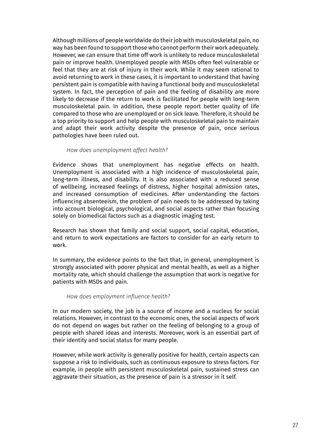Although millions of people worldwide do their job with musculoskeletal pain, no way has been found to support those who cannot perform their work adequately. However, we can ensure that time off work is unlikely to reduce musculoskeletal pain or improve health. Unemployed people with MSDs often feel vulnerable or feel that they are at risk of injury in their work. While it may seem rational to avoid returning to work in these cases, it is important to understand that having persistent pain is compatible with having a functional body and musculoskeletal system. In fact, the perception of pain and the feeling of disability are more likely to decrease if the return to work is facilitated for people with long-term musculoskeletal pain. In addition, these people report better quality of life compared to those who are unemployed or on sick leave. Therefore, it should be a top priority to support and help people with musculoskeletal pain to maintain and adapt their work activity despite the presence of pain, once serious pathologies have been ruled out.

#### *How does unemployment affect health?*

Evidence shows that unemployment has negative effects on health. Unemployment is associated with a high incidence of musculoskeletal pain, long-term illness, and disability. It is also associated with a reduced sense of wellbeing, increased feelings of distress, higher hospital admission rates, and increased consumption of medicines. After understanding the factors influencing absenteeism, the problem of pain needs to be addressed by taking into account biological, psychological, and social aspects rather than focusing solely on biomedical factors such as a diagnostic imaging test.

Research has shown that family and social support, social capital, education, and return to work expectations are factors to consider for an early return to work.

In summary, the evidence points to the fact that, in general, unemployment is strongly associated with poorer physical and mental health, as well as a higher mortality rate, which should challenge the assumption that work is negative for patients with MSDs and pain.

#### *How does employment influence health?*

In our modern society, the job is a source of income and a nucleus for social relations. However, in contrast to the economic ones, the social aspects of work do not depend on wages but rather on the feeling of belonging to a group of people with shared ideas and interests. Moreover, work is an essential part of their identity and social status for many people.

However, while work activity is generally positive for health, certain aspects can suppose a risk to individuals, such as continuous exposure to stress factors. For example, in people with persistent musculoskeletal pain, sustained stress can aggravate their situation, as the presence of pain is a stressor in it self.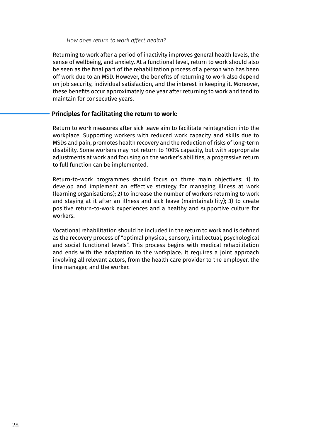#### *How does return to work affect health?*

Returning to work after a period of inactivity improves general health levels, the sense of wellbeing, and anxiety. At a functional level, return to work should also be seen as the final part of the rehabilitation process of a person who has been off work due to an MSD. However, the benefits of returning to work also depend on job security, individual satisfaction, and the interest in keeping it. Moreover, these benefits occur approximately one year after returning to work and tend to maintain for consecutive years.

#### **Principles for facilitating the return to work:**

Return to work measures after sick leave aim to facilitate reintegration into the workplace. Supporting workers with reduced work capacity and skills due to MSDs and pain, promotes health recovery and the reduction of risks of long-term disability. Some workers may not return to 100% capacity, but with appropriate adjustments at work and focusing on the worker's abilities, a progressive return to full function can be implemented.

Return-to-work programmes should focus on three main objectives: 1) to develop and implement an effective strategy for managing illness at work (learning organisations); 2) to increase the number of workers returning to work and staying at it after an illness and sick leave (maintainability); 3) to create positive return-to-work experiences and a healthy and supportive culture for workers.

Vocational rehabilitation should be included in the return to work and is defined as the recovery process of "optimal physical, sensory, intellectual, psychological and social functional levels". This process begins with medical rehabilitation and ends with the adaptation to the workplace. It requires a joint approach involving all relevant actors, from the health care provider to the employer, the line manager, and the worker.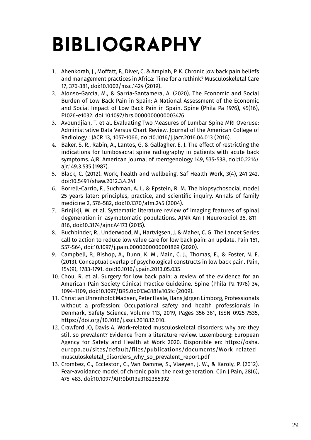## **BIBLIOGRAPHY**

- 1. Ahenkorah, J., Moffatt, F., Diver, C. & Ampiah, P. K. Chronic low back pain beliefs and management practices in Africa: Time for a rethink? Musculoskeletal Care 17, 376-381, doi:10.1002/msc.1424 (2019).
- 2. Alonso-García, M., & Sarría-Santamera, A. (2020). The Economic and Social Burden of Low Back Pain in Spain: A National Assessment of the Economic and Social Impact of Low Back Pain in Spain. Spine (Phila Pa 1976), 45(16), E1026-e1032. doi:10.1097/brs.0000000000003476
- 3. Avoundjian, T. et al. Evaluating Two Measures of Lumbar Spine MRI Overuse: Administrative Data Versus Chart Review. Journal of the American College of Radiology : JACR 13, 1057-1066, doi:10.1016/j.jacr.2016.04.013 (2016).
- 4. Baker, S. R., Rabin, A., Lantos, G. & Gallagher, E. J. The effect of restricting the indications for lumbosacral spine radiography in patients with acute back symptoms. AJR. American journal of roentgenology 149, 535-538, doi:10.2214/ ajr.149.3.535 (1987).
- 5. Black, C. (2012). Work, health and wellbeing. Saf Health Work, 3(4), 241-242. doi:10.5491/shaw.2012.3.4.241
- 6. Borrell-Carrio, F., Suchman, A. L. & Epstein, R. M. The biopsychosocial model 25 years later: principles, practice, and scientific inquiry. Annals of family medicine 2, 576-582, doi:10.1370/afm.245 (2004).
- 7. Brinjikji, W. et al. Systematic literature review of imaging features of spinal degeneration in asymptomatic populations. AJNR Am J Neuroradiol 36, 811- 816, doi:10.3174/ajnr.A4173 (2015).
- 8. Buchbinder, R., Underwood, M., Hartvigsen, J. & Maher, C. G. The Lancet Series call to action to reduce low value care for low back pain: an update. Pain 161, S57-S64, doi:10.1097/j.pain.0000000000001869 (2020).
- 9. Campbell, P., Bishop, A., Dunn, K. M., Main, C. J., Thomas, E., & Foster, N. E. (2013). Conceptual overlap of psychological constructs in low back pain. Pain, 154(9), 1783-1791. doi:10.1016/j.pain.2013.05.035
- 10. Chou, R. et al. Surgery for low back pain: a review of the evidence for an American Pain Society Clinical Practice Guideline. Spine (Phila Pa 1976) 34, 1094-1109, doi:10.1097/BRS.0b013e3181a105fc (2009).
- 11. Christian Uhrenholdt Madsen, Peter Hasle, Hans Jørgen Limborg, Professionals without a profession: Occupational safety and health professionals in Denmark, Safety Science, Volume 113, 2019, Pages 356-361, ISSN 0925-7535, https://doi.org/10.1016/j.ssci.2018.12.010.
- 12. Crawford JO, Davis A. Work-related musculoskeletal disorders: why are they still so prevalent? Evidence from a literature review. Luxembourg: European Agency for Safety and Health at Work 2020. Disponible en: https://osha. europa.eu/sites/default/files/publications/documents/Work\_related\_ musculoskeletal\_disorders\_why\_so\_prevalent\_report.pdf
- 13. Crombez, G., Eccleston, C., Van Damme, S., Vlaeyen, J. W., & Karoly, P. (2012). Fear-avoidance model of chronic pain: the next generation. Clin J Pain, 28(6), 475-483. doi:10.1097/AJP.0b013e3182385392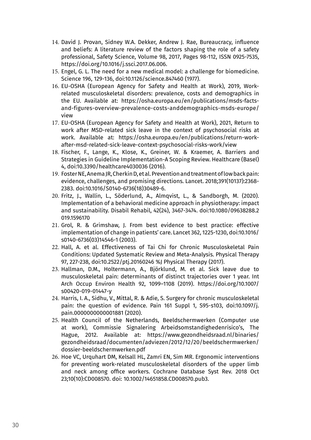- 14. David J. Provan, Sidney W.A. Dekker, Andrew J. Rae, Bureaucracy, influence and beliefs: A literature review of the factors shaping the role of a safety professional, Safety Science, Volume 98, 2017, Pages 98-112, ISSN 0925-7535, https://doi.org/10.1016/j.ssci.2017.06.006.
- 15. Engel, G. L. The need for a new medical model: a challenge for biomedicine. Science 196, 129-136, doi:10.1126/science.847460 (1977).
- 16. EU-OSHA (European Agency for Safety and Health at Work), 2019, Workrelated musculoskeletal disorders: prevalence, costs and demographics in the EU. Available at: https://osha.europa.eu/en/publications/msds-factsand-figures-overview-prevalence-costs-anddemographics-msds-europe/ view
- 17. EU-OSHA (European Agency for Safety and Health at Work), 2021, Return to work after MSD-related sick leave in the context of psychosocial risks at work. Available at: https://osha.europa.eu/en/publications/return-workafter-msd-related-sick-leave-context-psychosocial-risks-work/view
- 18. Fischer, F., Lange, K., Klose, K., Greiner, W. & Kraemer, A. Barriers and Strategies in Guideline Implementation-A Scoping Review. Healthcare (Basel) 4, doi:10.3390/healthcare4030036 (2016).
- 19. Foster NE, Anema JR, Cherkin D, et al. Prevention and treatment of low back pain: evidence, challenges, and promising directions. Lancet. 2018;391(10137):2368- 2383. doi:10.1016/S0140-6736(18)30489-6.
- 20. Fritz, J., Wallin, L., Söderlund, A., Almqvist, L., & Sandborgh, M. (2020). Implementation of a behavioral medicine approach in physiotherapy: impact and sustainability. Disabil Rehabil, 42(24), 3467-3474. doi:10.1080/09638288.2 019.1596170
- 21. Grol, R. & Grimshaw, J. From best evidence to best practice: effective implementation of change in patients' care. Lancet 362, 1225-1230, doi:10.1016/ s0140-6736(03)14546-1 (2003).
- 22. Hall, A. et al. Effectiveness of Tai Chi for Chronic Musculoskeletal Pain Conditions: Updated Systematic Review and Meta-Analysis. Physical Therapy 97, 227-238, doi:10.2522/ptj.20160246 %J Physical Therapy (2017).
- 23. Hallman, D.M., Holtermann, A., Björklund, M. et al. Sick leave due to musculoskeletal pain: determinants of distinct trajectories over 1 year. Int Arch Occup Environ Health 92, 1099–1108 (2019). https://doi.org/10.1007/ s00420-019-01447-y
- 24. Harris, I. A., Sidhu, V., Mittal, R. & Adie, S. Surgery for chronic musculoskeletal pain: the question of evidence. Pain 161 Suppl 1, S95-s103, doi:10.1097/j. pain.0000000000001881 (2020).
- 25. Health Council of the Netherlands, Beeldschermwerken (Computer use at work), Commissie Signalering Arbeidsomstandighedenrisico's, The Hague, 2012. Available at: https://www.gezondheidsraad.nl/binaries/ gezondheidsraad/documenten/adviezen/2012/12/20/beeldschermwerken/ dossier-beeldschermwerken.pdf
- 26. Hoe VC, Urquhart DM, Kelsall HL, Zamri EN, Sim MR. Ergonomic interventions for preventing work-related musculoskeletal disorders of the upper limb and neck among office workers. Cochrane Database Syst Rev. 2018 Oct 23;10(10):CD008570. doi: 10.1002/14651858.CD008570.pub3.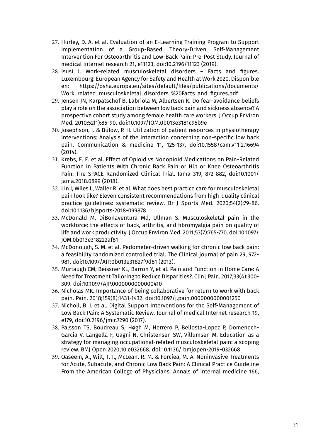- 27. Hurley, D. A. et al. Evaluation of an E-Learning Training Program to Support Implementation of a Group-Based, Theory-Driven, Self-Management Intervention For Osteoarthritis and Low-Back Pain: Pre-Post Study. Journal of medical Internet research 21, e11123, doi:10.2196/11123 (2019).
- 28. Isusi I. Work-related musculoskeletal disorders Facts and figures. Luxembourg: European Agency for Safety and Health at Work 2020. Disponible en: https://osha.europa.eu/sites/default/files/publications/documents/ Work\_related\_musculoskeletal\_disorders\_%20Facts\_and\_figures.pdf
- 29. Jensen JN, Karpatschof B, Labriola M, Albertsen K. Do fear-avoidance beliefs play a role on the association between low back pain and sickness absence? A prospective cohort study among female health care workers. J Occup Environ Med. 2010;52(1):85-90. doi:10.1097/JOM.0b013e3181c95b9e
- 30. Josephson, I. & Bülow, P. H. Utilization of patient resources in physiotherapy interventions: Analysis of the interaction concerning non-specific low back pain. Communication & medicine 11, 125-137, doi:10.1558/cam.v11i2.16694 (2014).
- 31. Krebs, E. E. et al. Effect of Opioid vs Nonopioid Medications on Pain-Related Function in Patients With Chronic Back Pain or Hip or Knee Osteoarthritis Pain: The SPACE Randomized Clinical Trial. Jama 319, 872-882, doi:10.1001/ jama.2018.0899 (2018).
- 32. Lin I, Wiles L, Waller R, et al. What does best practice care for musculoskeletal pain look like? Eleven consistent recommendations from high-quality clinical practice guidelines: systematic review. Br J Sports Med. 2020;54(2):79-86. doi:10.1136/bjsports-2018-099878
- 33. McDonald M, DiBonaventura Md, Ullman S. Musculoskeletal pain in the workforce: the effects of back, arthritis, and fibromyalgia pain on quality of life and work productivity. J Occup Environ Med. 2011;53(7):765-770. doi:10.1097/ JOM.0b013e318222af81
- 34. McDonough, S. M. et al. Pedometer-driven walking for chronic low back pain: a feasibility randomized controlled trial. The Clinical journal of pain 29, 972- 981, doi:10.1097/AJP.0b013e31827f9d81 (2013).
- 35. Murtaugh CM, Beissner KL, Barrón Y, et al. Pain and Function in Home Care: A Need for Treatment Tailoring to Reduce Disparities?. Clin J Pain. 2017;33(4):300- 309. doi:10.1097/AJP.0000000000000410
- 36. Nicholas MK. Importance of being collaborative for return to work with back pain. Pain. 2018;159(8):1431-1432. doi:10.1097/j.pain.0000000000001250
- 37. Nicholl, B. I. et al. Digital Support Interventions for the Self-Management of Low Back Pain: A Systematic Review. Journal of medical Internet research 19, e179, doi:10.2196/jmir.7290 (2017).
- 38. Palsson TS, Boudreau S, Høgh M, Herrero P, Bellosta-Lopez P, Domenech-Garcia V, Langella F, Gagni N, Christensen SW, Villumsen M. Education as a strategy for managing occupational-related musculoskeletal pain: a scoping review. BMJ Open 2020;10:e032668. doi:10.1136/ bmjopen-2019-032668
- 39. Qaseem, A., Wilt, T. J., McLean, R. M. & Forciea, M. A. Noninvasive Treatments for Acute, Subacute, and Chronic Low Back Pain: A Clinical Practice Guideline From the American College of Physicians. Annals of internal medicine 166,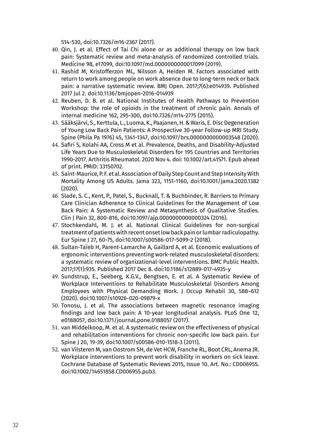514-530, doi:10.7326/m16-2367 (2017).

- 40. Qin, J. et al. Effect of Tai Chi alone or as additional therapy on low back pain: Systematic review and meta-analysis of randomized controlled trials. Medicine 98, e17099, doi:10.1097/md.0000000000017099 (2019).
- 41. Rashid M, Kristofferzon ML, Nilsson A, Heiden M. Factors associated with return to work among people on work absence due to long-term neck or back pain: a narrative systematic review. BMJ Open. 2017;7(6):e014939. Published 2017 Jul 2. doi:10.1136/bmjopen-2016-014939
- 42. Reuben, D. B. et al. National Institutes of Health Pathways to Prevention Workshop: the role of opioids in the treatment of chronic pain. Annals of internal medicine 162, 295-300, doi:10.7326/m14-2775 (2015).
- 43. Sääksjärvi, S., Kerttula, L., Luoma, K., Paajanen, H. & Waris, E. Disc Degeneration of Young Low Back Pain Patients: A Prospective 30-year Follow-up MRI Study. Spine (Phila Pa 1976) 45, 1341-1347, doi:10.1097/brs.0000000000003548 (2020).
- 44. Safiri S, Kolahi AA, Cross M et al. Prevalence, Deaths, and Disability-Adjusted Life Years Due to Musculoskeletal Disorders for 195 Countries and Territories 1990-2017. Arthritis Rheumatol. 2020 Nov 4. doi: 10.1002/art.41571. Epub ahead of print. PMID: 33150702.
- 45. Saint-Maurice, P. F. et al. Association of Daily Step Count and Step Intensity With Mortality Among US Adults. Jama 323, 1151-1160, doi:10.1001/jama.2020.1382 (2020).
- 46. Slade, S. C., Kent, P., Patel, S., Bucknall, T. & Buchbinder, R. Barriers to Primary Care Clinician Adherence to Clinical Guidelines for the Management of Low Back Pain: A Systematic Review and Metasynthesis of Qualitative Studies. Clin J Pain 32, 800-816, doi:10.1097/ajp.0000000000000324 (2016).
- 47. Stochkendahl, M. J. et al. National Clinical Guidelines for non-surgical treatment of patients with recent onset low back pain or lumbar radiculopathy. Eur Spine J 27, 60-75, doi:10.1007/s00586-017-5099-2 (2018).
- 48. Sultan-Taïeb H, Parent-Lamarche A, Gaillard A, et al. Economic evaluations of ergonomic interventions preventing work-related musculoskeletal disorders: a systematic review of organizational-level interventions. BMC Public Health. 2017;17(1):935. Published 2017 Dec 8. doi:10.1186/s12889-017-4935-y
- 49. Sundstrup, E., Seeberg, K.G.V., Bengtsen, E. et al. A Systematic Review of Workplace Interventions to Rehabilitate Musculoskeletal Disorders Among Employees with Physical Demanding Work. J Occup Rehabil 30, 588–612 (2020). doi:10.1007/s10926-020-09879-x
- 50. Tonosu, J. et al. The associations between magnetic resonance imaging findings and low back pain: A 10-year longitudinal analysis. PLoS One 12, e0188057, doi:10.1371/journal.pone.0188057 (2017).
- 51. van Middelkoop, M. et al. A systematic review on the effectiveness of physical and rehabilitation interventions for chronic non-specific low back pain. Eur Spine J 20, 19-39, doi:10.1007/s00586-010-1518-3 (2011).
- 52. van Vilsteren M, van Oostrom SH, de Vet HCW, Franche RL, Boot CRL, Anema JR. Workplace interventions to prevent work disability in workers on sick leave. Cochrane Database of Systematic Reviews 2015, Issue 10. Art. No.: CD006955. doi:10.1002/14651858.CD006955.pub3.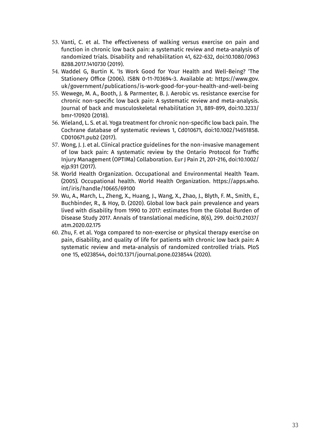- 53. Vanti, C. et al. The effectiveness of walking versus exercise on pain and function in chronic low back pain: a systematic review and meta-analysis of randomized trials. Disability and rehabilitation 41, 622-632, doi:10.1080/0963 8288.2017.1410730 (2019).
- 54. Waddel G, Burtin K. 'Is Work Good for Your Health and Well-Being? 'The Stationery Office (2006). ISBN 0-11-703694-3. Available at: https://www.gov. uk/government/publications/is-work-good-for-your-health-and-well-being
- 55. Wewege, M. A., Booth, J. & Parmenter, B. J. Aerobic vs. resistance exercise for chronic non-specific low back pain: A systematic review and meta-analysis. Journal of back and musculoskeletal rehabilitation 31, 889-899, doi:10.3233/ bmr-170920 (2018).
- 56. Wieland, L. S. et al. Yoga treatment for chronic non-specific low back pain. The Cochrane database of systematic reviews 1, Cd010671, doi:10.1002/14651858. CD010671.pub2 (2017).
- 57. Wong, J. J. et al. Clinical practice guidelines for the non-invasive management of low back pain: A systematic review by the Ontario Protocol for Traffic Injury Management (OPTIMa) Collaboration. Eur J Pain 21, 201-216, doi:10.1002/ ejp.931 (2017).
- 58. World Health Organization. Occupational and Environmental Health Team. (2005). Occupational health. World Health Organization. https://apps.who. int/iris/handle/10665/69100
- 59. Wu, A., March, L., Zheng, X., Huang, J., Wang, X., Zhao, J., Blyth, F. M., Smith, E., Buchbinder, R., & Hoy, D. (2020). Global low back pain prevalence and years lived with disability from 1990 to 2017: estimates from the Global Burden of Disease Study 2017. Annals of translational medicine, 8(6), 299. doi:10.21037/ atm.2020.02.175
- 60. Zhu, F. et al. Yoga compared to non-exercise or physical therapy exercise on pain, disability, and quality of life for patients with chronic low back pain: A systematic review and meta-analysis of randomized controlled trials. PloS one 15, e0238544, doi:10.1371/journal.pone.0238544 (2020).